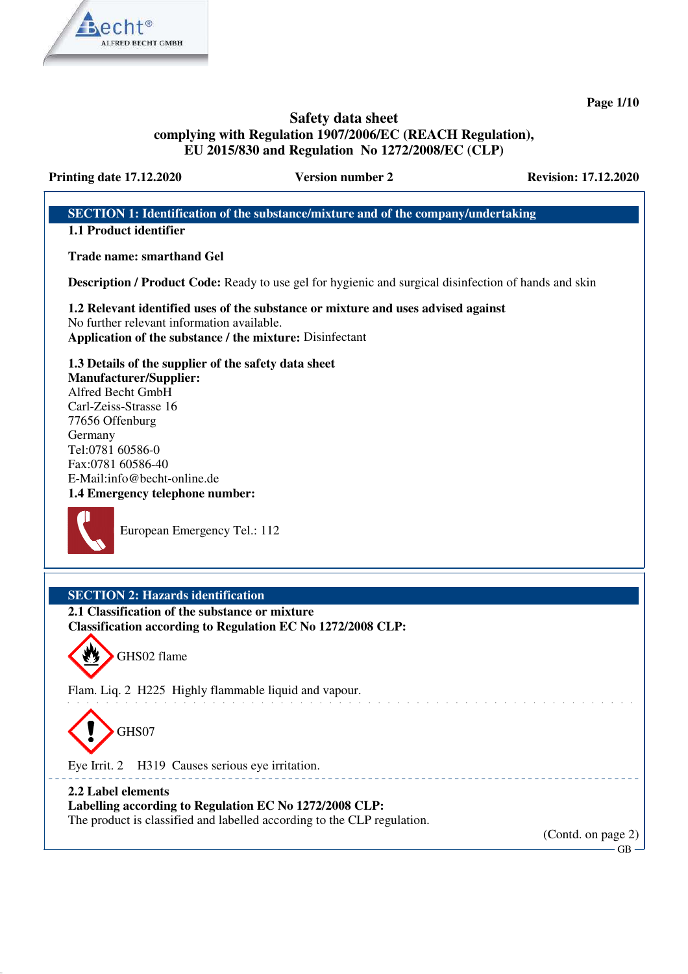

**Page 1/10**

# **Safety data sheet complying with Regulation 1907/2006/EC (REACH Regulation), EU 2015/830 and Regulation No 1272/2008/EC (CLP)**

**Printing date 17.12.2020 Version number 2 Revision: 17.12.2020** 

# **SECTION 1: Identification of the substance/mixture and of the company/undertaking 1.1 Product identifier Trade name: smarthand Gel Description / Product Code:** Ready to use gel for hygienic and surgical disinfection of hands and skin **1.2 Relevant identified uses of the substance or mixture and uses advised against** No further relevant information available. **Application of the substance / the mixture:** Disinfectant **1.3 Details of the supplier of the safety data sheet Manufacturer/Supplier:** Alfred Becht GmbH Carl-Zeiss-Strasse 16 77656 Offenburg Germany Tel:0781 60586-0 Fax:0781 60586-40 E-Mail:info@becht-online.de **1.4 Emergency telephone number:** European Emergency Tel.: 112 **SECTION 2: Hazards identification 2.1 Classification of the substance or mixture Classification according to Regulation EC No 1272/2008 CLP:** GHS02 flame Flam. Liq. 2 H225 Highly flammable liquid and vapour. and the state of the state of the GHS07 Eye Irrit. 2 H319 Causes serious eye irritation. \_\_\_\_\_\_\_\_\_\_\_\_\_\_\_\_\_\_\_\_\_\_\_\_\_\_ **2.2 Label elements Labelling according to Regulation EC No 1272/2008 CLP:** The product is classified and labelled according to the CLP regulation. (Contd. on page 2)  $GR$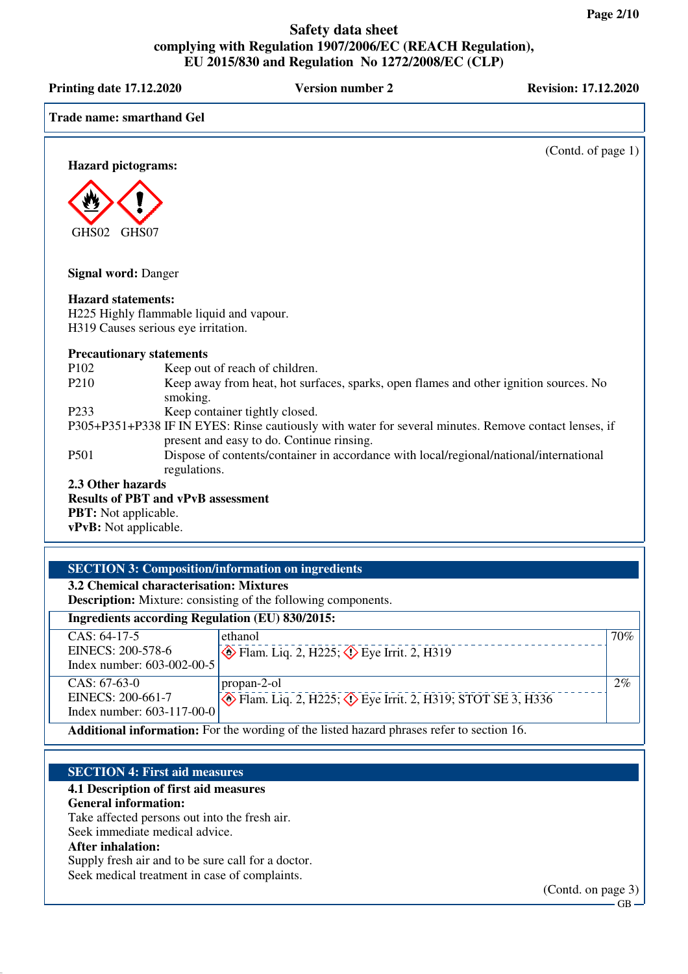| EU 2013/030 and Regulation TW 12/2/2000/EC (CLF)                          |                                                                                 |                                                                                                                                                    |                             |
|---------------------------------------------------------------------------|---------------------------------------------------------------------------------|----------------------------------------------------------------------------------------------------------------------------------------------------|-----------------------------|
| <b>Printing date 17.12.2020</b>                                           |                                                                                 | <b>Version number 2</b>                                                                                                                            | <b>Revision: 17.12.2020</b> |
| <b>Trade name: smarthand Gel</b>                                          |                                                                                 |                                                                                                                                                    |                             |
|                                                                           |                                                                                 |                                                                                                                                                    | (Contd. of page 1)          |
| <b>Hazard pictograms:</b>                                                 |                                                                                 |                                                                                                                                                    |                             |
| GHS02<br>GHS07                                                            |                                                                                 |                                                                                                                                                    |                             |
| <b>Signal word: Danger</b>                                                |                                                                                 |                                                                                                                                                    |                             |
| <b>Hazard statements:</b>                                                 | H225 Highly flammable liquid and vapour.<br>H319 Causes serious eye irritation. |                                                                                                                                                    |                             |
| <b>Precautionary statements</b>                                           |                                                                                 |                                                                                                                                                    |                             |
| P <sub>102</sub>                                                          | Keep out of reach of children.                                                  |                                                                                                                                                    |                             |
| P <sub>210</sub>                                                          | smoking.                                                                        | Keep away from heat, hot surfaces, sparks, open flames and other ignition sources. No                                                              |                             |
| P <sub>233</sub>                                                          | Keep container tightly closed.                                                  |                                                                                                                                                    |                             |
|                                                                           |                                                                                 | P305+P351+P338 IF IN EYES: Rinse cautiously with water for several minutes. Remove contact lenses, if<br>present and easy to do. Continue rinsing. |                             |
| P501                                                                      | regulations.                                                                    | Dispose of contents/container in accordance with local/regional/national/international                                                             |                             |
| 2.3 Other hazards<br><b>PBT:</b> Not applicable.<br>vPvB: Not applicable. | <b>Results of PBT and vPvB assessment</b>                                       |                                                                                                                                                    |                             |

# **SECTION 3: Composition/information on ingredients**

**3.2 Chemical characterisation: Mixtures**

**Description:** Mixture: consisting of the following components.

| <b>Ingredients according Regulation (EU) 830/2015:</b>                                   |                                                                               |     |
|------------------------------------------------------------------------------------------|-------------------------------------------------------------------------------|-----|
| $CAS: 64-17-5$                                                                           | ethanol                                                                       | 70% |
| EINECS: 200-578-6                                                                        | $\otimes$ Flam. Liq. 2, H225; $\otimes$ Eye Irrit. 2, H319                    |     |
| Index number: 603-002-00-5                                                               |                                                                               |     |
| $CAS: 67-63-0$                                                                           | propan-2-ol                                                                   | 2%  |
| EINECS: 200-661-7                                                                        | $\diamond$ Flam. Liq. 2, H225; $\diamond$ Eye Irrit. 2, H319; STOT SE 3, H336 |     |
| Index number: 603-117-00-0                                                               |                                                                               |     |
| Additional information: For the wording of the listed hazard phrases refer to section 16 |                                                                               |     |

**Additional information:** For the wording of the listed hazard phrases refer to section 16.

### **SECTION 4: First aid measures**

#### **4.1 Description of first aid measures**

#### **General information:**

Take affected persons out into the fresh air.

Seek immediate medical advice.

#### **After inhalation:**

Supply fresh air and to be sure call for a doctor. Seek medical treatment in case of complaints.

(Contd. on page 3)

 $-GB$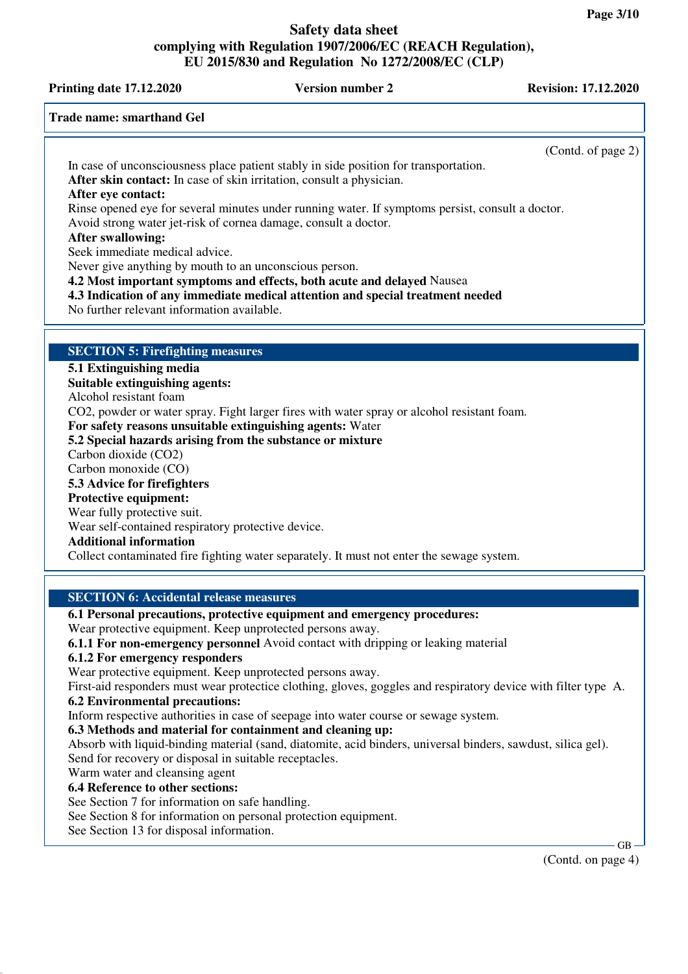# **Printing date 17.12.2020 Version number 2 Revision: 17.12.2020**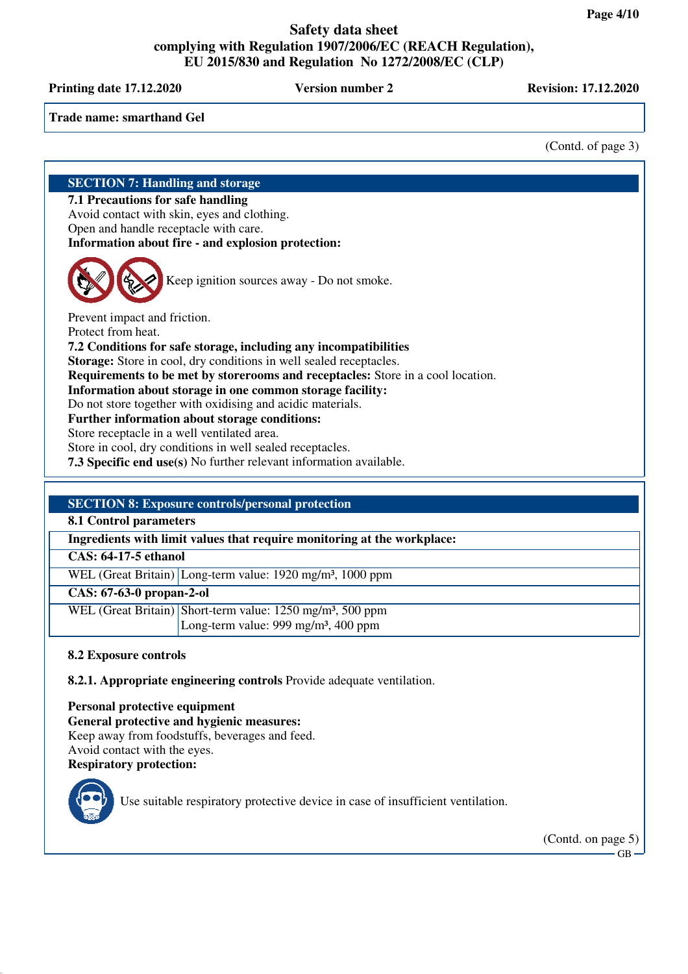**Printing date 17.12.2020 Version number 2 Revision: 17.12.2020** 

**Trade name: smarthand Gel**

(Contd. of page 3)

# **SECTION 7: Handling and storage**

**7.1 Precautions for safe handling**

Avoid contact with skin, eyes and clothing.

Open and handle receptacle with care.

**Information about fire - and explosion protection:**

Keep ignition sources away - Do not smoke.

Prevent impact and friction. Protect from heat. **7.2 Conditions for safe storage, including any incompatibilities Storage:** Store in cool, dry conditions in well sealed receptacles. **Requirements to be met by storerooms and receptacles:** Store in a cool location. **Information about storage in one common storage facility:** Do not store together with oxidising and acidic materials. **Further information about storage conditions:** Store receptacle in a well ventilated area. Store in cool, dry conditions in well sealed receptacles. **7.3 Specific end use(s)** No further relevant information available.

# **SECTION 8: Exposure controls/personal protection**

**8.1 Control parameters**

**Ingredients with limit values that require monitoring at the workplace:**

**CAS: 64-17-5 ethanol**

WEL (Great Britain) Long-term value: 1920 mg/m³, 1000 ppm

**CAS: 67-63-0 propan-2-ol**

WEL (Great Britain) Short-term value: 1250 mg/m<sup>3</sup>, 500 ppm Long-term value: 999 mg/m<sup>3</sup>, 400 ppm

# **8.2 Exposure controls**

**8.2.1. Appropriate engineering controls** Provide adequate ventilation.

**Personal protective equipment General protective and hygienic measures:** Keep away from foodstuffs, beverages and feed. Avoid contact with the eyes. **Respiratory protection:**



Use suitable respiratory protective device in case of insufficient ventilation.

(Contd. on page 5)

 $-GR$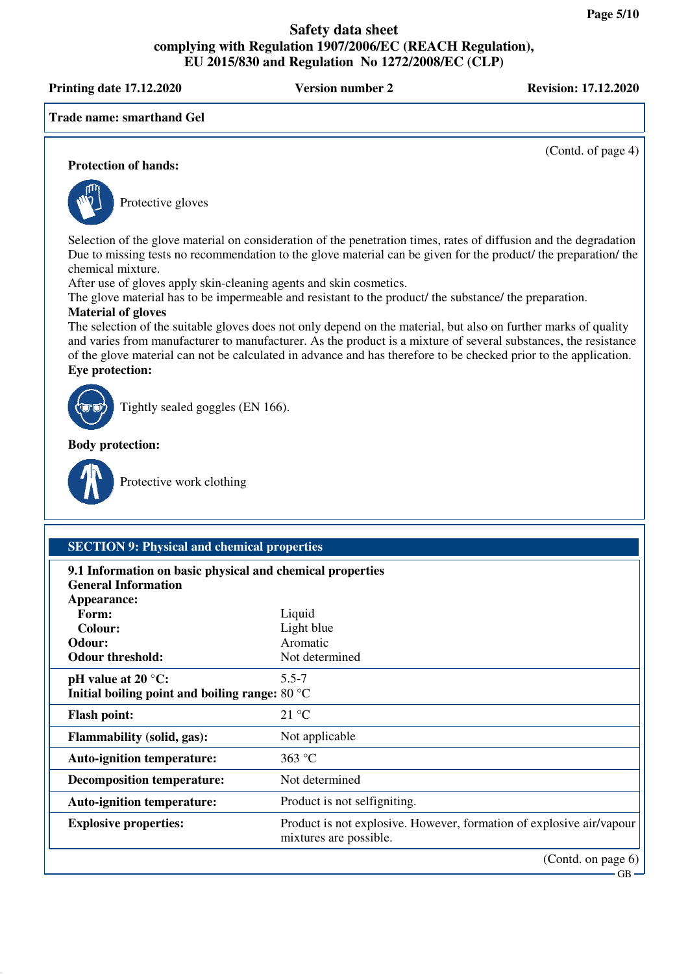**Printing date 17.12.2020 Version number 2 Revision: 17.12.2020**

**Trade name: smarthand Gel**

(Contd. of page 4)

#### **Protection of hands:**



Protective gloves

Selection of the glove material on consideration of the penetration times, rates of diffusion and the degradation Due to missing tests no recommendation to the glove material can be given for the product/ the preparation/ the chemical mixture.

After use of gloves apply skin-cleaning agents and skin cosmetics.

The glove material has to be impermeable and resistant to the product/ the substance/ the preparation.

# **Material of gloves**

The selection of the suitable gloves does not only depend on the material, but also on further marks of quality and varies from manufacturer to manufacturer. As the product is a mixture of several substances, the resistance of the glove material can not be calculated in advance and has therefore to be checked prior to the application. **Eye protection:**



Tightly sealed goggles (EN 166).

**Body protection:**



Protective work clothing

| <b>SECTION 9: Physical and chemical properties</b>                                      |                                                                                                |  |
|-----------------------------------------------------------------------------------------|------------------------------------------------------------------------------------------------|--|
| 9.1 Information on basic physical and chemical properties<br><b>General Information</b> |                                                                                                |  |
| Appearance:                                                                             |                                                                                                |  |
| Form:                                                                                   | Liquid                                                                                         |  |
| Colour:                                                                                 | Light blue                                                                                     |  |
| Odour:                                                                                  | Aromatic                                                                                       |  |
| <b>Odour threshold:</b>                                                                 | Not determined                                                                                 |  |
| pH value at $20^{\circ}$ C:                                                             | $5.5 - 7$                                                                                      |  |
| Initial boiling point and boiling range: 80 °C                                          |                                                                                                |  |
| <b>Flash point:</b>                                                                     | 21 °C                                                                                          |  |
| <b>Flammability (solid, gas):</b>                                                       | Not applicable                                                                                 |  |
| <b>Auto-ignition temperature:</b>                                                       | 363 °C                                                                                         |  |
| <b>Decomposition temperature:</b>                                                       | Not determined                                                                                 |  |
| <b>Auto-ignition temperature:</b>                                                       | Product is not selfigniting.                                                                   |  |
| <b>Explosive properties:</b>                                                            | Product is not explosive. However, formation of explosive air/vapour<br>mixtures are possible. |  |
|                                                                                         | (Contd. on page 6)                                                                             |  |
|                                                                                         | $GB -$                                                                                         |  |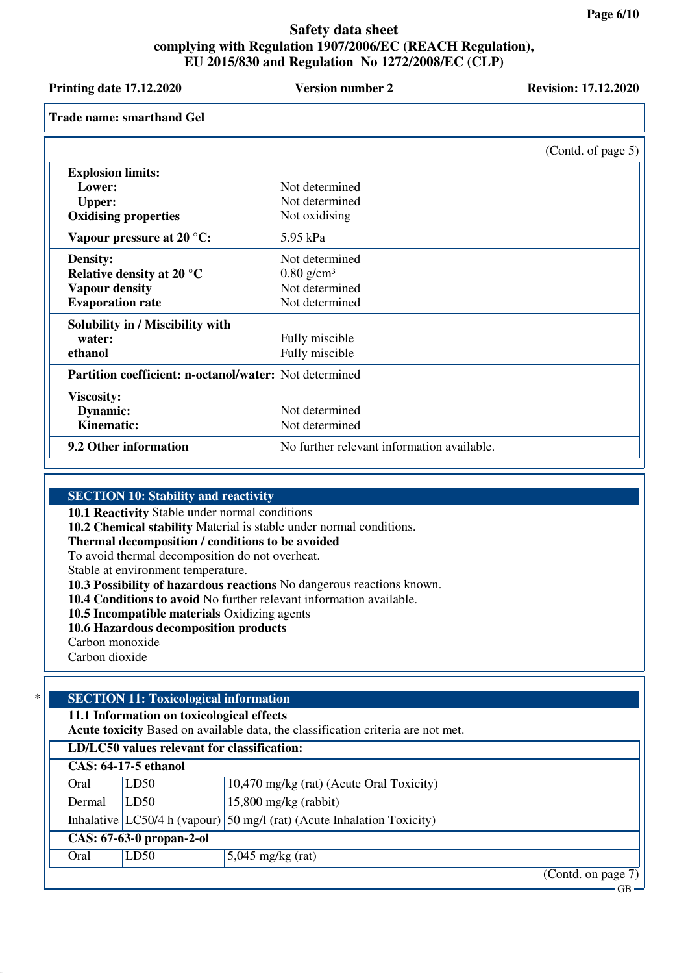| <b>Printing date 17.12.2020</b>                               | <b>Version number 2</b>                    | <b>Revision: 17.12.2020</b> |
|---------------------------------------------------------------|--------------------------------------------|-----------------------------|
| <b>Trade name: smarthand Gel</b>                              |                                            |                             |
|                                                               |                                            | (Contd. of page 5)          |
| <b>Explosion limits:</b>                                      |                                            |                             |
| Lower:                                                        | Not determined                             |                             |
| <b>Upper:</b>                                                 | Not determined                             |                             |
| <b>Oxidising properties</b>                                   | Not oxidising                              |                             |
| Vapour pressure at $20^{\circ}$ C:                            | 5.95 kPa                                   |                             |
| <b>Density:</b>                                               | Not determined                             |                             |
| Relative density at 20 $^{\circ}$ C                           | $0.80$ g/cm <sup>3</sup>                   |                             |
| <b>Vapour density</b>                                         | Not determined                             |                             |
| <b>Evaporation rate</b>                                       | Not determined                             |                             |
| Solubility in / Miscibility with                              |                                            |                             |
| water:                                                        | Fully miscible                             |                             |
| ethanol                                                       | Fully miscible                             |                             |
| <b>Partition coefficient: n-octanol/water:</b> Not determined |                                            |                             |
| <b>Viscosity:</b>                                             |                                            |                             |
| Dynamic:                                                      | Not determined                             |                             |
| <b>Kinematic:</b>                                             | Not determined                             |                             |
| 9.2 Other information                                         | No further relevant information available. |                             |

#### **SECTION 10: Stability and reactivity**

**10.1 Reactivity** Stable under normal conditions

**10.2 Chemical stability** Material is stable under normal conditions.

**Thermal decomposition / conditions to be avoided**

To avoid thermal decomposition do not overheat.

Stable at environment temperature.

**10.3 Possibility of hazardous reactions** No dangerous reactions known.

**10.4 Conditions to avoid** No further relevant information available.

**10.5 Incompatible materials** Oxidizing agents

**10.6 Hazardous decomposition products**

Carbon monoxide

Carbon dioxide

# \* **SECTION 11: Toxicological information**

**11.1 Information on toxicological effects**

**Acute toxicity** Based on available data, the classification criteria are not met.

| LD/LC50 values relevant for classification: |      |                                                                           |
|---------------------------------------------|------|---------------------------------------------------------------------------|
| <b>CAS: 64-17-5 ethanol</b>                 |      |                                                                           |
| Oral                                        | LD50 | 10,470 mg/kg (rat) (Acute Oral Toxicity)                                  |
| Dermal                                      | LD50 | $15,800$ mg/kg (rabbit)                                                   |
|                                             |      | Inhalative $ LC50/4 h$ (vapour) 50 mg/l (rat) (Acute Inhalation Toxicity) |
| CAS: 67-63-0 propan-2-ol                    |      |                                                                           |
| Oral                                        | LD50 | $5,045$ mg/kg (rat)                                                       |
|                                             |      | $(Contd \text{ on } \text{page 7})$                                       |

(Conta. on page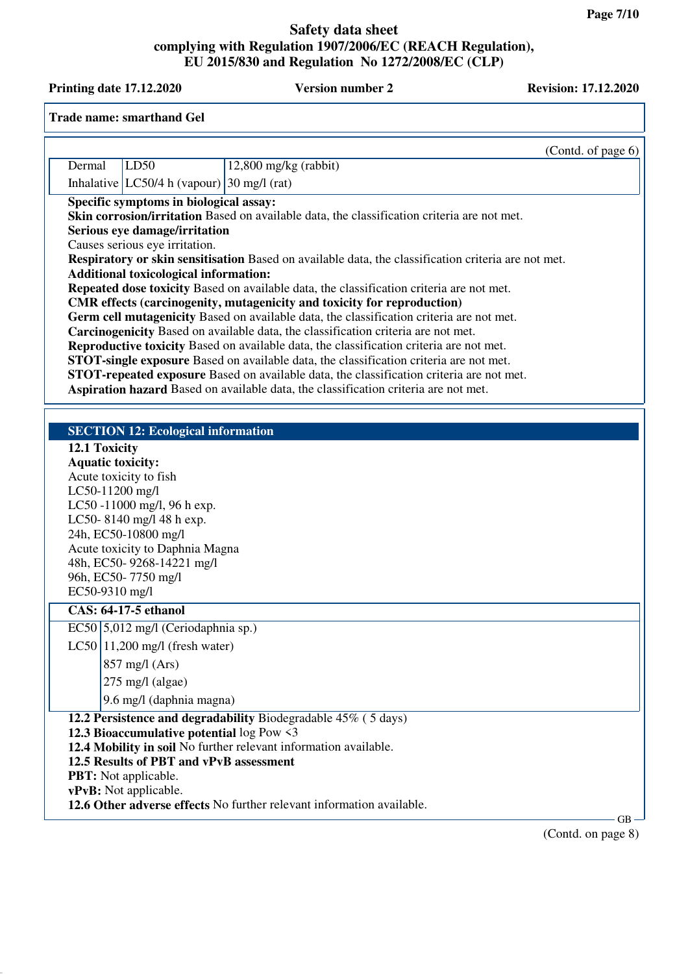**Printing date 17.12.2020 Version number 2 Revision: 17.12.2020** 

|        | <b>Trade name: smarthand Gel</b>                                                                                                                                                                                                                                                  |                                                                                                                                                                                                                                                                                                                                                                                                                                                                                                                                                                                                                                                                                                                                                                                                                                                                                                                                                  |                    |
|--------|-----------------------------------------------------------------------------------------------------------------------------------------------------------------------------------------------------------------------------------------------------------------------------------|--------------------------------------------------------------------------------------------------------------------------------------------------------------------------------------------------------------------------------------------------------------------------------------------------------------------------------------------------------------------------------------------------------------------------------------------------------------------------------------------------------------------------------------------------------------------------------------------------------------------------------------------------------------------------------------------------------------------------------------------------------------------------------------------------------------------------------------------------------------------------------------------------------------------------------------------------|--------------------|
|        |                                                                                                                                                                                                                                                                                   |                                                                                                                                                                                                                                                                                                                                                                                                                                                                                                                                                                                                                                                                                                                                                                                                                                                                                                                                                  | (Contd. of page 6) |
| Dermal | LD50                                                                                                                                                                                                                                                                              | $12,800$ mg/kg (rabbit)                                                                                                                                                                                                                                                                                                                                                                                                                                                                                                                                                                                                                                                                                                                                                                                                                                                                                                                          |                    |
|        | Inhalative $ LC50/4 h$ (vapour) 30 mg/l (rat)                                                                                                                                                                                                                                     |                                                                                                                                                                                                                                                                                                                                                                                                                                                                                                                                                                                                                                                                                                                                                                                                                                                                                                                                                  |                    |
|        | Specific symptoms in biological assay:<br>Serious eye damage/irritation<br>Causes serious eye irritation.<br><b>Additional toxicological information:</b>                                                                                                                         | Skin corrosion/irritation Based on available data, the classification criteria are not met.<br>Respiratory or skin sensitisation Based on available data, the classification criteria are not met.<br>Repeated dose toxicity Based on available data, the classification criteria are not met.<br>CMR effects (carcinogenity, mutagenicity and toxicity for reproduction)<br>Germ cell mutagenicity Based on available data, the classification criteria are not met.<br>Carcinogenicity Based on available data, the classification criteria are not met.<br>Reproductive toxicity Based on available data, the classification criteria are not met.<br><b>STOT-single exposure</b> Based on available data, the classification criteria are not met.<br><b>STOT-repeated exposure</b> Based on available data, the classification criteria are not met.<br>Aspiration hazard Based on available data, the classification criteria are not met. |                    |
|        | <b>SECTION 12: Ecological information</b>                                                                                                                                                                                                                                         |                                                                                                                                                                                                                                                                                                                                                                                                                                                                                                                                                                                                                                                                                                                                                                                                                                                                                                                                                  |                    |
|        | 12.1 Toxicity<br><b>Aquatic toxicity:</b><br>Acute toxicity to fish<br>LC50-11200 mg/l<br>LC50-11000 mg/l, 96 h exp.<br>LC50-8140 mg/l 48 h exp.<br>24h, EC50-10800 mg/l<br>Acute toxicity to Daphnia Magna<br>48h, EC50-9268-14221 mg/l<br>96h, EC50-7750 mg/l<br>EC50-9310 mg/l |                                                                                                                                                                                                                                                                                                                                                                                                                                                                                                                                                                                                                                                                                                                                                                                                                                                                                                                                                  |                    |
|        | <b>CAS: 64-17-5 ethanol</b>                                                                                                                                                                                                                                                       |                                                                                                                                                                                                                                                                                                                                                                                                                                                                                                                                                                                                                                                                                                                                                                                                                                                                                                                                                  |                    |
|        | EC50 5,012 mg/l (Ceriodaphnia sp.)                                                                                                                                                                                                                                                |                                                                                                                                                                                                                                                                                                                                                                                                                                                                                                                                                                                                                                                                                                                                                                                                                                                                                                                                                  |                    |
|        | $LC50$   11,200 mg/l (fresh water)<br>$857$ mg/l (Ars)<br>$275 \text{ mg/l}$ (algae)<br>9.6 mg/l (daphnia magna)                                                                                                                                                                  |                                                                                                                                                                                                                                                                                                                                                                                                                                                                                                                                                                                                                                                                                                                                                                                                                                                                                                                                                  |                    |
|        |                                                                                                                                                                                                                                                                                   | 12.2 Persistence and degradability Biodegradable 45% (5 days)                                                                                                                                                                                                                                                                                                                                                                                                                                                                                                                                                                                                                                                                                                                                                                                                                                                                                    |                    |
|        | 12.3 Bioaccumulative potential log Pow <3<br>12.5 Results of PBT and vPvB assessment<br><b>PBT:</b> Not applicable.<br>vPvB: Not applicable.                                                                                                                                      | 12.4 Mobility in soil No further relevant information available.<br>12.6 Other adverse effects No further relevant information available.                                                                                                                                                                                                                                                                                                                                                                                                                                                                                                                                                                                                                                                                                                                                                                                                        |                    |
|        |                                                                                                                                                                                                                                                                                   |                                                                                                                                                                                                                                                                                                                                                                                                                                                                                                                                                                                                                                                                                                                                                                                                                                                                                                                                                  | $GB -$             |
|        |                                                                                                                                                                                                                                                                                   |                                                                                                                                                                                                                                                                                                                                                                                                                                                                                                                                                                                                                                                                                                                                                                                                                                                                                                                                                  | (Contd. on page 8) |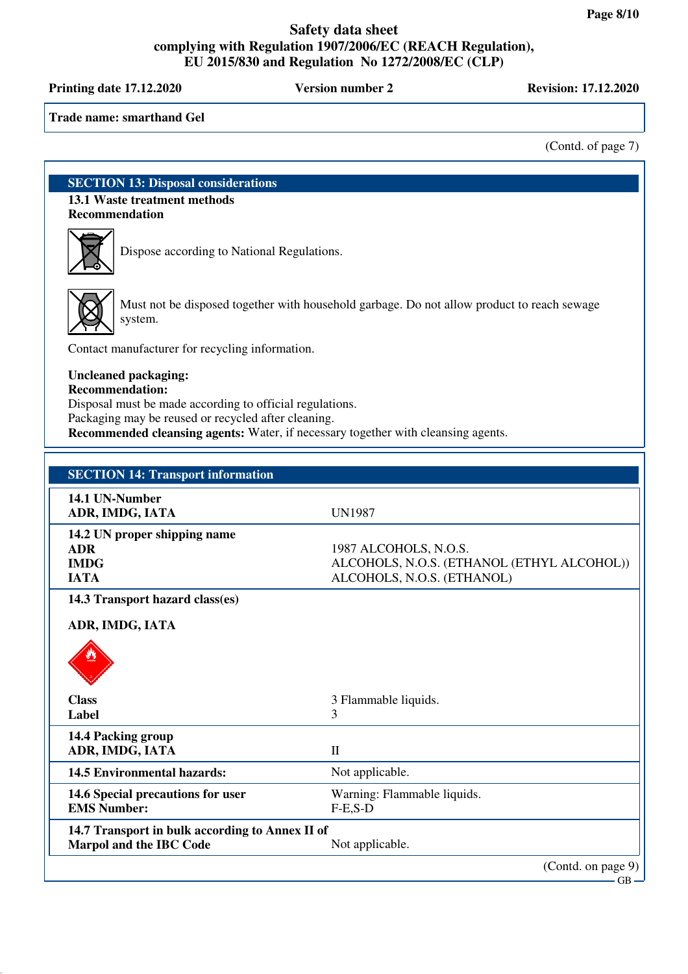**Printing date 17.12.2020 Version number 2 Revision: 17.12.2020**

**Trade name: smarthand Gel**

(Contd. of page 7)

**SECTION 13: Disposal considerations 13.1 Waste treatment methods Recommendation**



Dispose according to National Regulations.



Must not be disposed together with household garbage. Do not allow product to reach sewage system.

Contact manufacturer for recycling information.

### **Uncleaned packaging:**

**Recommendation:**

Disposal must be made according to official regulations.

Packaging may be reused or recycled after cleaning.

**Recommended cleansing agents:** Water, if necessary together with cleansing agents.

| <b>SECTION 14: Transport information</b>                                          |                                                                                                   |
|-----------------------------------------------------------------------------------|---------------------------------------------------------------------------------------------------|
| 14.1 UN-Number<br>ADR, IMDG, IATA                                                 | <b>UN1987</b>                                                                                     |
| 14.2 UN proper shipping name<br><b>ADR</b><br><b>IMDG</b><br><b>IATA</b>          | 1987 ALCOHOLS, N.O.S.<br>ALCOHOLS, N.O.S. (ETHANOL (ETHYL ALCOHOL))<br>ALCOHOLS, N.O.S. (ETHANOL) |
| 14.3 Transport hazard class(es)<br>ADR, IMDG, IATA                                |                                                                                                   |
| <b>Class</b><br>Label                                                             | 3 Flammable liquids.<br>3                                                                         |
| 14.4 Packing group<br>ADR, IMDG, IATA                                             | $\mathbf{I}$                                                                                      |
| <b>14.5 Environmental hazards:</b>                                                | Not applicable.                                                                                   |
| 14.6 Special precautions for user<br><b>EMS Number:</b>                           | Warning: Flammable liquids.<br>$F-E$ , $S-D$                                                      |
| 14.7 Transport in bulk according to Annex II of<br><b>Marpol and the IBC Code</b> | Not applicable.                                                                                   |
|                                                                                   | (Contd. on page 9)<br>$GB -$                                                                      |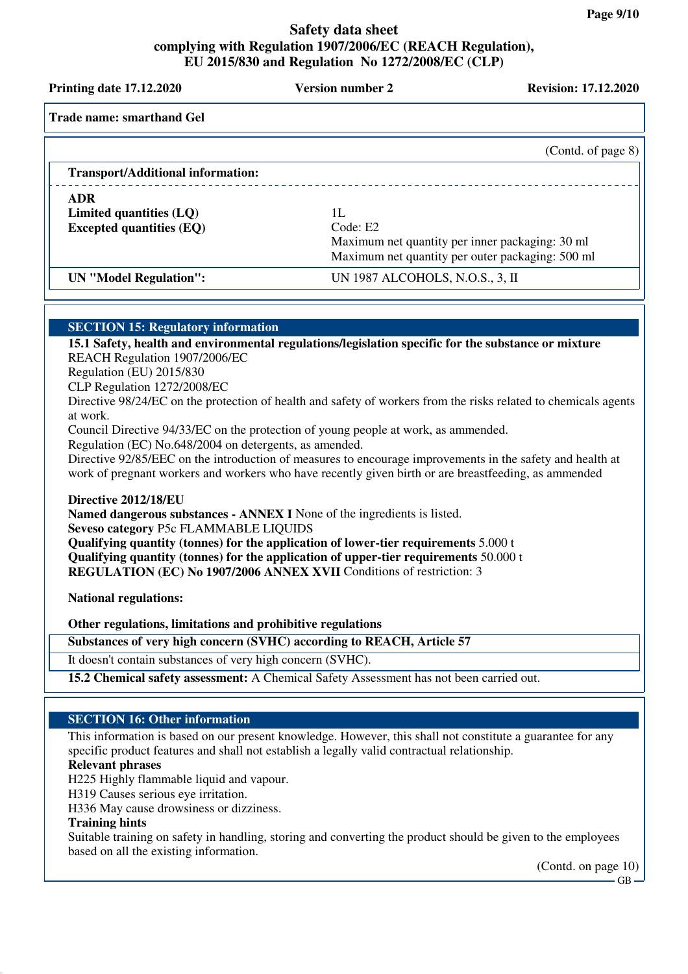**Printing date 17.12.2020 Version number 2 Revision: 17.12.2020 Trade name: smarthand Gel** (Contd. of page 8) **Transport/Additional information: ADR Limited quantities (LQ)** 1L<br> **Excepted quantities (EQ)** Code: E2 **Excepted quantities (EQ)** Maximum net quantity per inner packaging: 30 ml Maximum net quantity per outer packaging: 500 ml **UN "Model Regulation":** UN 1987 ALCOHOLS, N.O.S., 3, II **SECTION 15: Regulatory information 15.1 Safety, health and environmental regulations/legislation specific for the substance or mixture** REACH Regulation 1907/2006/EC Regulation (EU) 2015/830 CLP Regulation 1272/2008/EC Directive 98/24/EC on the protection of health and safety of workers from the risks related to chemicals agents at work. Council Directive 94/33/EC on the protection of young people at work, as ammended. Regulation (EC) No.648/2004 on detergents, as amended. Directive 92/85/EEC on the introduction of measures to encourage improvements in the safety and health at work of pregnant workers and workers who have recently given birth or are breastfeeding, as ammended **Directive 2012/18/EU Named dangerous substances - ANNEX I** None of the ingredients is listed. **Seveso category** P5c FLAMMABLE LIQUIDS **Qualifying quantity (tonnes) for the application of lower-tier requirements** 5.000 t **Qualifying quantity (tonnes) for the application of upper-tier requirements** 50.000 t **REGULATION (EC) No 1907/2006 ANNEX XVII** Conditions of restriction: 3 **National regulations: Other regulations, limitations and prohibitive regulations Substances of very high concern (SVHC) according to REACH, Article 57** It doesn't contain substances of very high concern (SVHC). **15.2 Chemical safety assessment:** A Chemical Safety Assessment has not been carried out. **SECTION 16: Other information** This information is based on our present knowledge. However, this shall not constitute a guarantee for any specific product features and shall not establish a legally valid contractual relationship. **Relevant phrases** H225 Highly flammable liquid and vapour. H319 Causes serious eye irritation. H336 May cause drowsiness or dizziness. **Training hints**

Suitable training on safety in handling, storing and converting the product should be given to the employees based on all the existing information.

(Contd. on page 10)